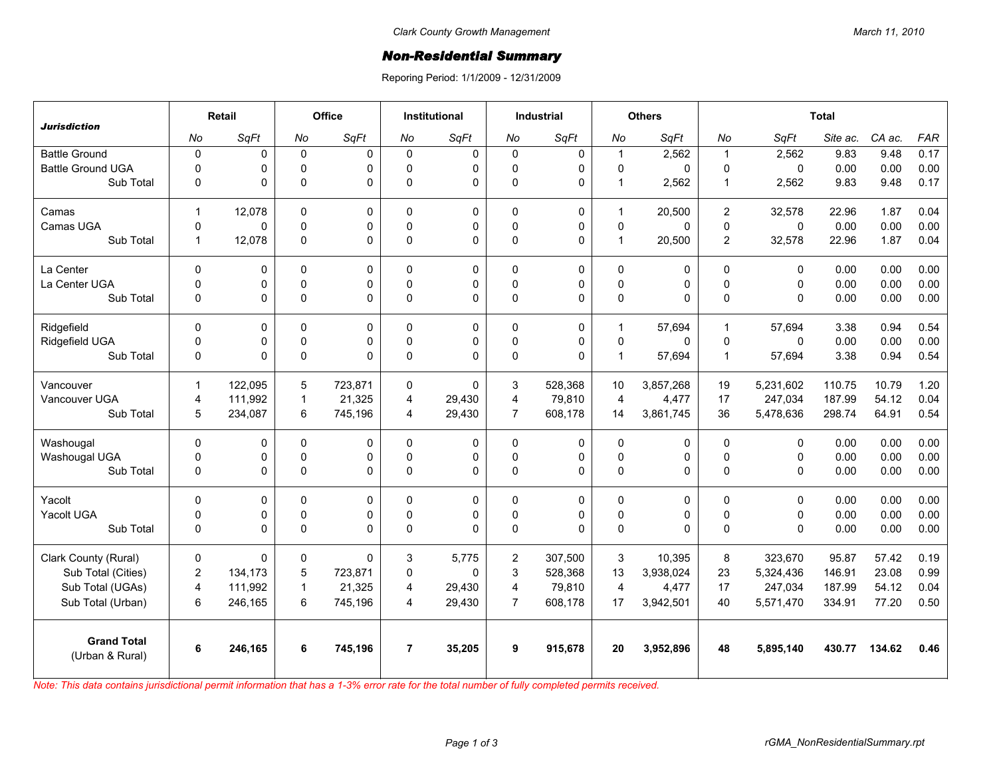## *Non-Residential Summary*

Reporing Period: 1/1/2009 - 12/31/2009

| <b>Jurisdiction</b>                   | Retail                  |         | Office       |             | <b>Institutional</b> |             | <b>Industrial</b> |              | <b>Others</b>           |             | <b>Total</b>   |              |          |        |            |
|---------------------------------------|-------------------------|---------|--------------|-------------|----------------------|-------------|-------------------|--------------|-------------------------|-------------|----------------|--------------|----------|--------|------------|
|                                       | No                      | SqFt    | No           | SqFt        | No                   | SqFt        | No                | SqFt         | No                      | SqFt        | No             | SqFt         | Site ac. | CA ac. | <b>FAR</b> |
| <b>Battle Ground</b>                  | $\mathbf 0$             | 0       | $\pmb{0}$    | $\Omega$    | $\mathbf{0}$         | $\mathbf 0$ | $\mathbf 0$       | 0            | $\mathbf{1}$            | 2,562       | $\mathbf{1}$   | 2,562        | 9.83     | 9.48   | 0.17       |
| <b>Battle Ground UGA</b>              | $\mathbf 0$             | 0       | $\mathbf 0$  | $\Omega$    | $\Omega$             | 0           | 0                 | 0            | $\mathbf 0$             | 0           | $\mathbf 0$    | $\mathbf{0}$ | 0.00     | 0.00   | 0.00       |
| Sub Total                             | 0                       | 0       | $\mathbf 0$  | $\Omega$    | $\Omega$             | 0           | $\mathbf 0$       | $\mathbf 0$  | $\mathbf{1}$            | 2,562       | $\mathbf{1}$   | 2,562        | 9.83     | 9.48   | 0.17       |
| Camas                                 | $\mathbf{1}$            | 12,078  | 0            | $\Omega$    | $\Omega$             | 0           | 0                 | $\mathbf 0$  | $\mathbf 1$             | 20,500      | 2              | 32,578       | 22.96    | 1.87   | 0.04       |
| Camas UGA                             | $\mathsf 0$             | 0       | 0            | 0           | $\mathbf{0}$         | 0           | 0                 | $\mathsf 0$  | $\pmb{0}$               | $\mathbf 0$ | $\pmb{0}$      | $\mathbf 0$  | 0.00     | 0.00   | 0.00       |
| Sub Total                             | $\mathbf{1}$            | 12,078  | $\mathbf 0$  | $\Omega$    | $\mathbf 0$          | 0           | $\pmb{0}$         | $\Omega$     | $\mathbf{1}$            | 20,500      | $\overline{2}$ | 32,578       | 22.96    | 1.87   | 0.04       |
| La Center                             | $\Omega$                | 0       | $\Omega$     | $\Omega$    | $\Omega$             | $\Omega$    | $\Omega$          | $\Omega$     | $\Omega$                | 0           | $\mathbf{0}$   | $\mathbf{0}$ | 0.00     | 0.00   | 0.00       |
| La Center UGA                         | 0                       | 0       | 0            | 0           | $\Omega$             | 0           | 0                 | 0            | $\mathbf 0$             | 0           | $\mathbf 0$    | $\mathbf 0$  | 0.00     | 0.00   | 0.00       |
| Sub Total                             | $\mathbf 0$             | 0       | $\Omega$     | $\Omega$    | $\Omega$             | $\Omega$    | $\Omega$          | $\mathbf{0}$ | $\mathsf 0$             | 0           | $\Omega$       | $\Omega$     | 0.00     | 0.00   | 0.00       |
| Ridgefield                            | $\Omega$                | 0       | $\mathbf 0$  | 0           | $\Omega$             | 0           | $\mathbf 0$       | $\mathbf 0$  | 1                       | 57,694      | $\mathbf{1}$   | 57,694       | 3.38     | 0.94   | 0.54       |
| Ridgefield UGA                        | 0                       | 0       | 0            | 0           | $\mathbf{0}$         | 0           | $\pmb{0}$         | 0            | $\mathbf 0$             | 0           | $\mathbf 0$    | $\mathbf 0$  | 0.00     | 0.00   | 0.00       |
| Sub Total                             | 0                       | 0       | $\pmb{0}$    | $\mathbf 0$ | $\mathbf{0}$         | 0           | $\pmb{0}$         | $\mathbf{0}$ | $\mathbf{1}$            | 57,694      | $\overline{1}$ | 57,694       | 3.38     | 0.94   | 0.54       |
| Vancouver                             | $\mathbf{1}$            | 122.095 | 5            | 723,871     | $\Omega$             | $\Omega$    | 3                 | 528,368      | 10                      | 3,857,268   | 19             | 5,231,602    | 110.75   | 10.79  | 1.20       |
| Vancouver UGA                         | $\overline{\mathbf{4}}$ | 111,992 | $\mathbf{1}$ | 21,325      | $\overline{4}$       | 29,430      | 4                 | 79,810       | $\overline{\mathbf{4}}$ | 4,477       | 17             | 247,034      | 187.99   | 54.12  | 0.04       |
| Sub Total                             | 5                       | 234,087 | 6            | 745,196     | 4                    | 29,430      | $\overline{7}$    | 608,178      | 14                      | 3,861,745   | 36             | 5,478,636    | 298.74   | 64.91  | 0.54       |
| Washougal                             | $\Omega$                | 0       | 0            | $\Omega$    | $\Omega$             | 0           | $\Omega$          | $\mathbf 0$  | 0                       | 0           | $\Omega$       | $\mathbf{0}$ | 0.00     | 0.00   | 0.00       |
| Washougal UGA                         | 0                       | 0       | 0            | 0           | $\mathbf{0}$         | 0           | $\pmb{0}$         | 0            | $\pmb{0}$               | 0           | $\pmb{0}$      | $\mathbf 0$  | 0.00     | 0.00   | 0.00       |
| Sub Total                             | $\mathbf 0$             | 0       | $\pmb{0}$    | $\Omega$    | $\Omega$             | 0           | $\Omega$          | $\Omega$     | $\pmb{0}$               | 0           | $\mathbf 0$    | $\mathbf{0}$ | 0.00     | 0.00   | 0.00       |
| Yacolt                                | 0                       | 0       | $\mathbf 0$  | 0           | $\Omega$             | 0           | $\mathbf 0$       | 0            | $\mathbf 0$             | 0           | $\mathbf 0$    | $\mathbf 0$  | 0.00     | 0.00   | 0.00       |
| Yacolt UGA                            | 0                       | 0       | 0            | 0           | $\Omega$             | 0           | 0                 | $\mathbf 0$  | $\mathbf 0$             | 0           | $\mathbf 0$    | $\mathbf 0$  | 0.00     | 0.00   | 0.00       |
| Sub Total                             | 0                       | 0       | $\pmb{0}$    | $\Omega$    | $\Omega$             | $\Omega$    | $\pmb{0}$         | $\mathbf{0}$ | $\mathsf 0$             | 0           | $\mathbf{0}$   | $\mathbf{0}$ | 0.00     | 0.00   | 0.00       |
| Clark County (Rural)                  | 0                       | 0       | 0            | $\Omega$    | 3                    | 5.775       | $\overline{2}$    | 307,500      | 3                       | 10,395      | 8              | 323,670      | 95.87    | 57.42  | 0.19       |
| Sub Total (Cities)                    | $\overline{c}$          | 134,173 | 5            | 723,871     | $\Omega$             | $\Omega$    | 3                 | 528,368      | 13                      | 3,938,024   | 23             | 5,324,436    | 146.91   | 23.08  | 0.99       |
| Sub Total (UGAs)                      | 4                       | 111,992 | $\mathbf{1}$ | 21,325      | 4                    | 29,430      | $\overline{4}$    | 79,810       | $\overline{4}$          | 4,477       | 17             | 247,034      | 187.99   | 54.12  | 0.04       |
| Sub Total (Urban)                     | 6                       | 246,165 | 6            | 745,196     | $\overline{4}$       | 29,430      | $\overline{7}$    | 608,178      | 17                      | 3,942,501   | 40             | 5,571,470    | 334.91   | 77.20  | 0.50       |
| <b>Grand Total</b><br>(Urban & Rural) | 6                       | 246,165 | 6            | 745,196     | $\overline{7}$       | 35,205      | 9                 | 915,678      | 20                      | 3,952,896   | 48             | 5,895,140    | 430.77   | 134.62 | 0.46       |
|                                       |                         |         |              |             |                      |             |                   |              |                         |             |                |              |          |        |            |

*Note: This data contains jurisdictional permit information that has a 1-3% error rate for the total number of fully completed permits received.*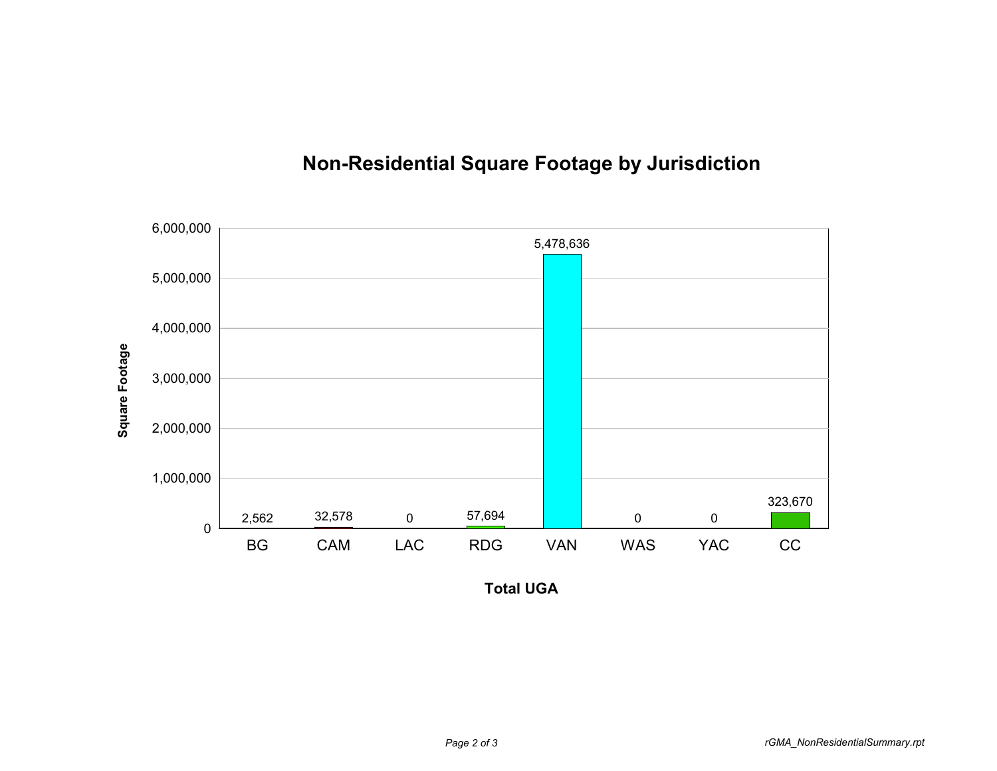

## **Non-Residential Square Footage by Jurisdiction**

**Total UGA**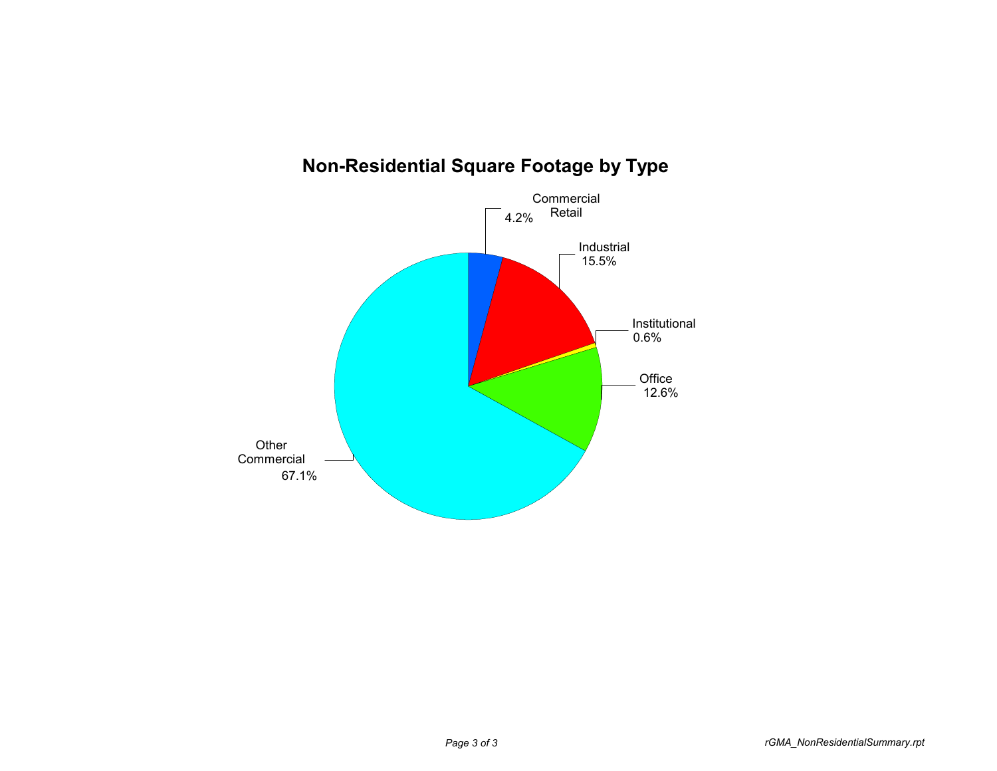

## **Non-Residential Square Footage by Type**